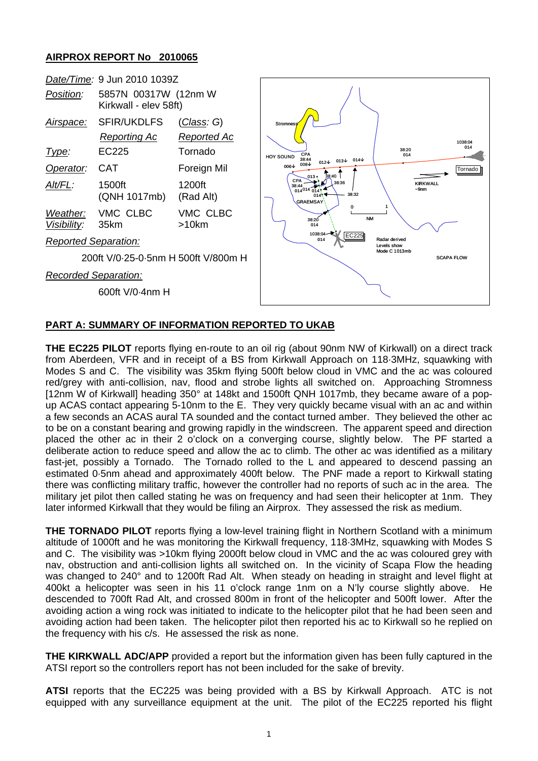## **AIRPROX REPORT No 2010065**



## **PART A: SUMMARY OF INFORMATION REPORTED TO UKAB**

**THE EC225 PILOT** reports flying en-route to an oil rig (about 90nm NW of Kirkwall) on a direct track from Aberdeen, VFR and in receipt of a BS from Kirkwall Approach on 118·3MHz, squawking with Modes S and C. The visibility was 35km flying 500ft below cloud in VMC and the ac was coloured red/grey with anti-collision, nav, flood and strobe lights all switched on. Approaching Stromness [12nm W of Kirkwall] heading 350° at 148kt and 1500ft QNH 1017mb, they became aware of a popup ACAS contact appearing 5-10nm to the E. They very quickly became visual with an ac and within a few seconds an ACAS aural TA sounded and the contact turned amber. They believed the other ac to be on a constant bearing and growing rapidly in the windscreen. The apparent speed and direction placed the other ac in their 2 o'clock on a converging course, slightly below. The PF started a deliberate action to reduce speed and allow the ac to climb. The other ac was identified as a military fast-jet, possibly a Tornado. The Tornado rolled to the L and appeared to descend passing an estimated 0·5nm ahead and approximately 400ft below. The PNF made a report to Kirkwall stating there was conflicting military traffic, however the controller had no reports of such ac in the area. The military jet pilot then called stating he was on frequency and had seen their helicopter at 1nm. They later informed Kirkwall that they would be filing an Airprox. They assessed the risk as medium.

**THE TORNADO PILOT** reports flying a low-level training flight in Northern Scotland with a minimum altitude of 1000ft and he was monitoring the Kirkwall frequency, 118·3MHz, squawking with Modes S and C. The visibility was >10km flying 2000ft below cloud in VMC and the ac was coloured grey with nav, obstruction and anti-collision lights all switched on. In the vicinity of Scapa Flow the heading was changed to 240° and to 1200ft Rad Alt. When steady on heading in straight and level flight at 400kt a helicopter was seen in his 11 o'clock range 1nm on a N'ly course slightly above. He descended to 700ft Rad Alt, and crossed 800m in front of the helicopter and 500ft lower. After the avoiding action a wing rock was initiated to indicate to the helicopter pilot that he had been seen and avoiding action had been taken. The helicopter pilot then reported his ac to Kirkwall so he replied on the frequency with his c/s. He assessed the risk as none.

**THE KIRKWALL ADC/APP** provided a report but the information given has been fully captured in the ATSI report so the controllers report has not been included for the sake of brevity.

**ATSI** reports that the EC225 was being provided with a BS by Kirkwall Approach. ATC is not equipped with any surveillance equipment at the unit. The pilot of the EC225 reported his flight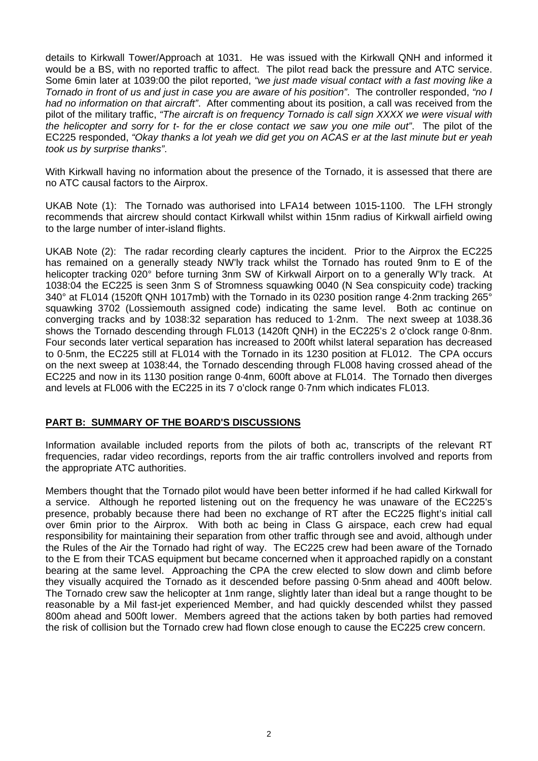details to Kirkwall Tower/Approach at 1031. He was issued with the Kirkwall QNH and informed it would be a BS, with no reported traffic to affect. The pilot read back the pressure and ATC service. Some 6min later at 1039:00 the pilot reported, *"we just made visual contact with a fast moving like a Tornado in front of us and just in case you are aware of his position"*. The controller responded, *"no I had no information on that aircraft"*. After commenting about its position, a call was received from the pilot of the military traffic, *"The aircraft is on frequency Tornado is call sign XXXX we were visual with the helicopter and sorry for t- for the er close contact we saw you one mile out"*. The pilot of the EC225 responded, *"Okay thanks a lot yeah we did get you on ACAS er at the last minute but er yeah took us by surprise thanks"*.

With Kirkwall having no information about the presence of the Tornado, it is assessed that there are no ATC causal factors to the Airprox.

UKAB Note (1): The Tornado was authorised into LFA14 between 1015-1100. The LFH strongly recommends that aircrew should contact Kirkwall whilst within 15nm radius of Kirkwall airfield owing to the large number of inter-island flights.

UKAB Note (2): The radar recording clearly captures the incident. Prior to the Airprox the EC225 has remained on a generally steady NW'ly track whilst the Tornado has routed 9nm to E of the helicopter tracking 020° before turning 3nm SW of Kirkwall Airport on to a generally W'ly track. At 1038:04 the EC225 is seen 3nm S of Stromness squawking 0040 (N Sea conspicuity code) tracking 340° at FL014 (1520ft QNH 1017mb) with the Tornado in its 0230 position range 4·2nm tracking 265° squawking 3702 (Lossiemouth assigned code) indicating the same level. Both ac continue on converging tracks and by 1038:32 separation has reduced to 1·2nm. The next sweep at 1038.36 shows the Tornado descending through FL013 (1420ft QNH) in the EC225's 2 o'clock range 0·8nm. Four seconds later vertical separation has increased to 200ft whilst lateral separation has decreased to 0·5nm, the EC225 still at FL014 with the Tornado in its 1230 position at FL012. The CPA occurs on the next sweep at 1038:44, the Tornado descending through FL008 having crossed ahead of the EC225 and now in its 1130 position range 0·4nm, 600ft above at FL014. The Tornado then diverges and levels at FL006 with the EC225 in its 7 o'clock range 0·7nm which indicates FL013.

## **PART B: SUMMARY OF THE BOARD'S DISCUSSIONS**

Information available included reports from the pilots of both ac, transcripts of the relevant RT frequencies, radar video recordings, reports from the air traffic controllers involved and reports from the appropriate ATC authorities.

Members thought that the Tornado pilot would have been better informed if he had called Kirkwall for a service. Although he reported listening out on the frequency he was unaware of the EC225's presence, probably because there had been no exchange of RT after the EC225 flight's initial call over 6min prior to the Airprox. With both ac being in Class G airspace, each crew had equal responsibility for maintaining their separation from other traffic through see and avoid, although under the Rules of the Air the Tornado had right of way. The EC225 crew had been aware of the Tornado to the E from their TCAS equipment but became concerned when it approached rapidly on a constant bearing at the same level. Approaching the CPA the crew elected to slow down and climb before they visually acquired the Tornado as it descended before passing 0·5nm ahead and 400ft below. The Tornado crew saw the helicopter at 1nm range, slightly later than ideal but a range thought to be reasonable by a Mil fast-jet experienced Member, and had quickly descended whilst they passed 800m ahead and 500ft lower. Members agreed that the actions taken by both parties had removed the risk of collision but the Tornado crew had flown close enough to cause the EC225 crew concern.